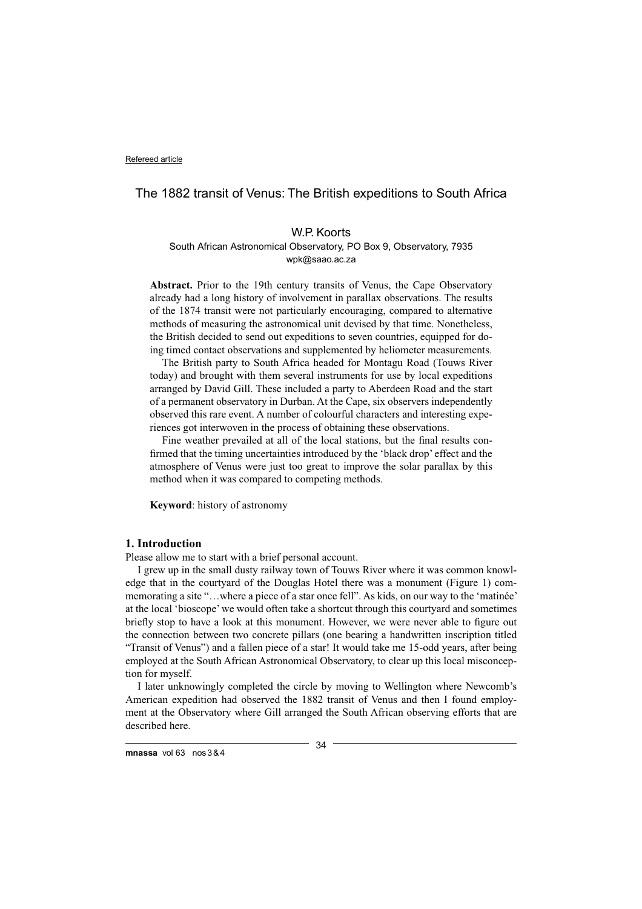# The 1882 transit of Venus: The British expeditions to South Africa

# W.P. Koorts South African Astronomical Observatory, PO Box 9, Observatory, 7935 wpk@saao.ac.za

**Abstract.** Prior to the 19th century transits of Venus, the Cape Observatory already had a long history of involvement in parallax observations. The results of the 1874 transit were not particularly encouraging, compared to alternative methods of measuring the astronomical unit devised by that time. Nonetheless, the British decided to send out expeditions to seven countries, equipped for doing timed contact observations and supplemented by heliometer measurements.

The British party to South Africa headed for Montagu Road (Touws River today) and brought with them several instruments for use by local expeditions arranged by David Gill. These included a party to Aberdeen Road and the start of a permanent observatory in Durban. At the Cape, six observers independently observed this rare event. A number of colourful characters and interesting experiences got interwoven in the process of obtaining these observations.

Fine weather prevailed at all of the local stations, but the final results confirmed that the timing uncertainties introduced by the 'black drop' effect and the atmosphere of Venus were just too great to improve the solar parallax by this method when it was compared to competing methods.

**Keyword**: history of astronomy

# **1. Introduction**

Please allow me to start with a brief personal account.

I grew up in the small dusty railway town of Touws River where it was common knowledge that in the courtyard of the Douglas Hotel there was a monument (Figure 1) commemorating a site "…where a piece of a star once fell". As kids, on our way to the 'matinée' at the local 'bioscope' we would often take a shortcut through this courtyard and sometimes briefly stop to have a look at this monument. However, we were never able to figure out the connection between two concrete pillars (one bearing a handwritten inscription titled "Transit of Venus") and a fallen piece of a star! It would take me 15-odd years, after being employed at the South African Astronomical Observatory, to clear up this local misconception for myself.

I later unknowingly completed the circle by moving to Wellington where Newcomb's American expedition had observed the 1882 transit of Venus and then I found employment at the Observatory where Gill arranged the South African observing efforts that are described here.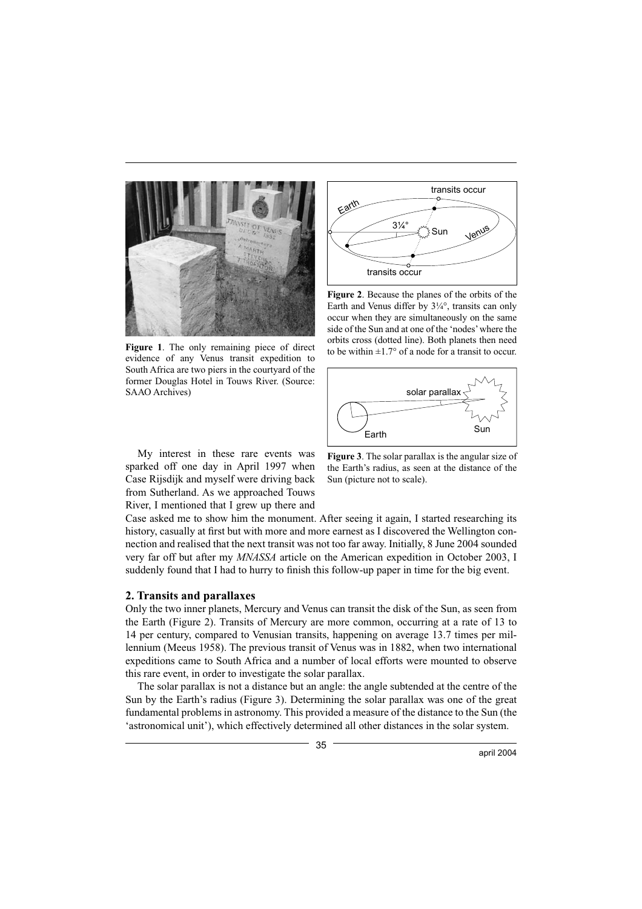

**Figure 1**. The only remaining piece of direct evidence of any Venus transit expedition to South Africa are two piers in the courtyard of the former Douglas Hotel in Touws River. (Source: SAAO Archives)

Sun Earth Venus 3¼° transits occur transits occur

**Figure 2**. Because the planes of the orbits of the Earth and Venus differ by 3¼°, transits can only occur when they are simultaneously on the same side of the Sun and at one of the 'nodes' where the orbits cross (dotted line). Both planets then need to be within  $\pm 1.7^\circ$  of a node for a transit to occur.



My interest in these rare events was sparked off one day in April 1997 when Case Rijsdijk and myself were driving back from Sutherland. As we approached Touws River, I mentioned that I grew up there and



Case asked me to show him the monument. After seeing it again, I started researching its history, casually at first but with more and more earnest as I discovered the Wellington connection and realised that the next transit was not too far away. Initially, 8 June 2004 sounded very far off but after my *MNASSA* article on the American expedition in October 2003, I suddenly found that I had to hurry to finish this follow-up paper in time for the big event.

# **2. Transits and parallaxes**

Only the two inner planets, Mercury and Venus can transit the disk of the Sun, as seen from the Earth (Figure 2). Transits of Mercury are more common, occurring at a rate of 13 to 14 per century, compared to Venusian transits, happening on average 13.7 times per millennium (Meeus 1958). The previous transit of Venus was in 1882, when two international expeditions came to South Africa and a number of local efforts were mounted to observe this rare event, in order to investigate the solar parallax.

The solar parallax is not a distance but an angle: the angle subtended at the centre of the Sun by the Earth's radius (Figure 3). Determining the solar parallax was one of the great fundamental problems in astronomy. This provided a measure of the distance to the Sun (the 'astronomical unit'), which effectively determined all other distances in the solar system.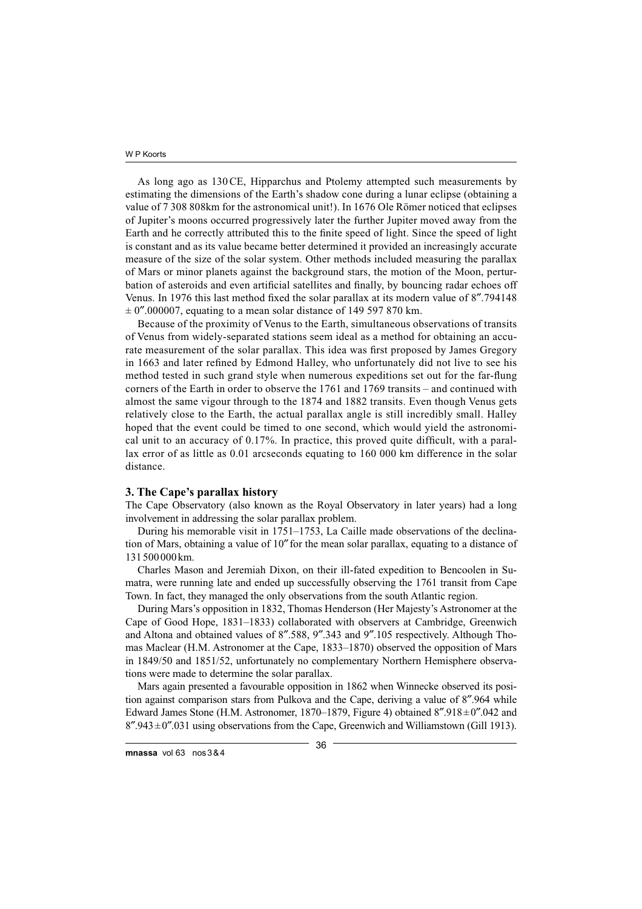As long ago as 130 CE, Hipparchus and Ptolemy attempted such measurements by estimating the dimensions of the Earth's shadow cone during a lunar eclipse (obtaining a value of 7 308 808km for the astronomical unit!). In 1676 Ole Römer noticed that eclipses of Jupiter's moons occurred progressively later the further Jupiter moved away from the Earth and he correctly attributed this to the finite speed of light. Since the speed of light is constant and as its value became better determined it provided an increasingly accurate measure of the size of the solar system. Other methods included measuring the parallax of Mars or minor planets against the background stars, the motion of the Moon, perturbation of asteroids and even artificial satellites and finally, by bouncing radar echoes off Venus. In 1976 this last method fixed the solar parallax at its modern value of 8".794148  $\pm$  0".000007, equating to a mean solar distance of 149 597 870 km.

Because of the proximity of Venus to the Earth, simultaneous observations of transits of Venus from widely-separated stations seem ideal as a method for obtaining an accurate measurement of the solar parallax. This idea was first proposed by James Gregory in 1663 and later refined by Edmond Halley, who unfortunately did not live to see his method tested in such grand style when numerous expeditions set out for the far-flung corners of the Earth in order to observe the 1761 and 1769 transits – and continued with almost the same vigour through to the 1874 and 1882 transits. Even though Venus gets relatively close to the Earth, the actual parallax angle is still incredibly small. Halley hoped that the event could be timed to one second, which would yield the astronomical unit to an accuracy of  $0.17\%$ . In practice, this proved quite difficult, with a parallax error of as little as 0.01 arcseconds equating to 160 000 km difference in the solar distance.

### **3. The Cape's parallax history**

The Cape Observatory (also known as the Royal Observatory in later years) had a long involvement in addressing the solar parallax problem.

During his memorable visit in 1751–1753, La Caille made observations of the declination of Mars, obtaining a value of 10″ for the mean solar parallax, equating to a distance of 131 500 000 km.

Charles Mason and Jeremiah Dixon, on their ill-fated expedition to Bencoolen in Sumatra, were running late and ended up successfully observing the 1761 transit from Cape Town. In fact, they managed the only observations from the south Atlantic region.

During Mars's opposition in 1832, Thomas Henderson (Her Majesty's Astronomer at the Cape of Good Hope, 1831–1833) collaborated with observers at Cambridge, Greenwich and Altona and obtained values of 8″.588, 9″.343 and 9″.105 respectively. Although Thomas Maclear (H.M. Astronomer at the Cape, 1833–1870) observed the opposition of Mars in 1849/50 and 1851/52, unfortunately no complementary Northern Hemisphere observations were made to determine the solar parallax.

Mars again presented a favourable opposition in 1862 when Winnecke observed its position against comparison stars from Pulkova and the Cape, deriving a value of 8″.964 while Edward James Stone (H.M. Astronomer, 1870–1879, Figure 4) obtained  $8''.918 \pm 0''.042$  and  $8''.943 \pm 0''.031$  using observations from the Cape, Greenwich and Williamstown (Gill 1913).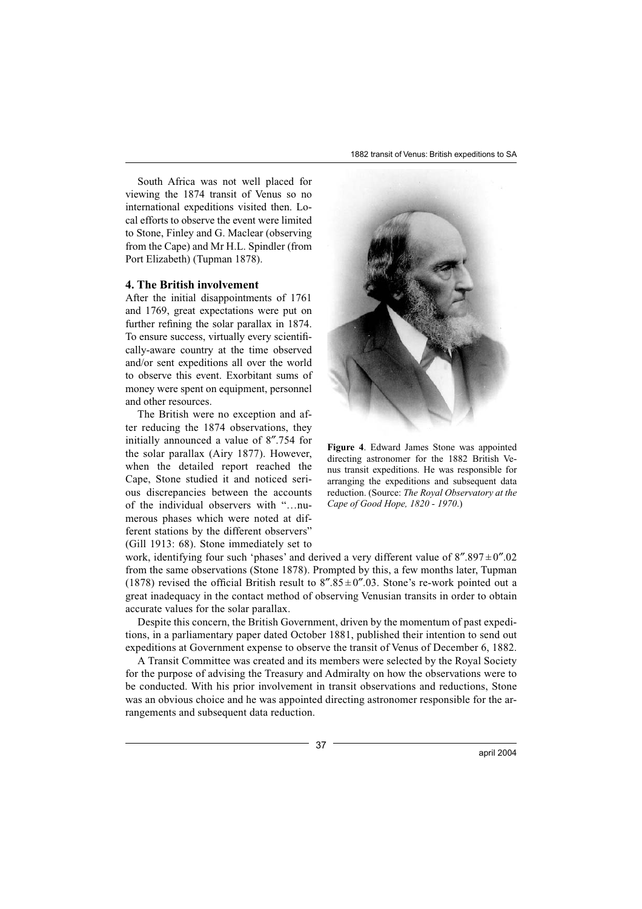1882 transit of Venus: British expeditions to SA

South Africa was not well placed for viewing the 1874 transit of Venus so no international expeditions visited then. Local efforts to observe the event were limited to Stone, Finley and G. Maclear (observing from the Cape) and Mr H.L. Spindler (from Port Elizabeth) (Tupman 1878).

### **4. The British involvement**

After the initial disappointments of 1761 and 1769, great expectations were put on further refining the solar parallax in 1874. To ensure success, virtually every scientifically-aware country at the time observed and/or sent expeditions all over the world to observe this event. Exorbitant sums of money were spent on equipment, personnel and other resources.

The British were no exception and after reducing the 1874 observations, they initially announced a value of 8″.754 for the solar parallax (Airy 1877). However, when the detailed report reached the Cape, Stone studied it and noticed serious discrepancies between the accounts of the individual observers with "…numerous phases which were noted at different stations by the different observers" (Gill 1913: 68). Stone immediately set to



**Figure 4**. Edward James Stone was appointed directing astronomer for the 1882 British Venus transit expeditions. He was responsible for arranging the expeditions and subsequent data reduction. (Source: *The Royal Observatory at the Cape of Good Hope, 1820 - 1970*.)

work, identifying four such 'phases' and derived a very different value of  $8''.897 \pm 0''.02$ from the same observations (Stone 1878). Prompted by this, a few months later, Tupman (1878) revised the official British result to  $8\degree$ .85  $\pm$  0 $\degree$ .03. Stone's re-work pointed out a great inadequacy in the contact method of observing Venusian transits in order to obtain accurate values for the solar parallax.

Despite this concern, the British Government, driven by the momentum of past expeditions, in a parliamentary paper dated October 1881, published their intention to send out expeditions at Government expense to observe the transit of Venus of December 6, 1882.

A Transit Committee was created and its members were selected by the Royal Society for the purpose of advising the Treasury and Admiralty on how the observations were to be conducted. With his prior involvement in transit observations and reductions, Stone was an obvious choice and he was appointed directing astronomer responsible for the arrangements and subsequent data reduction.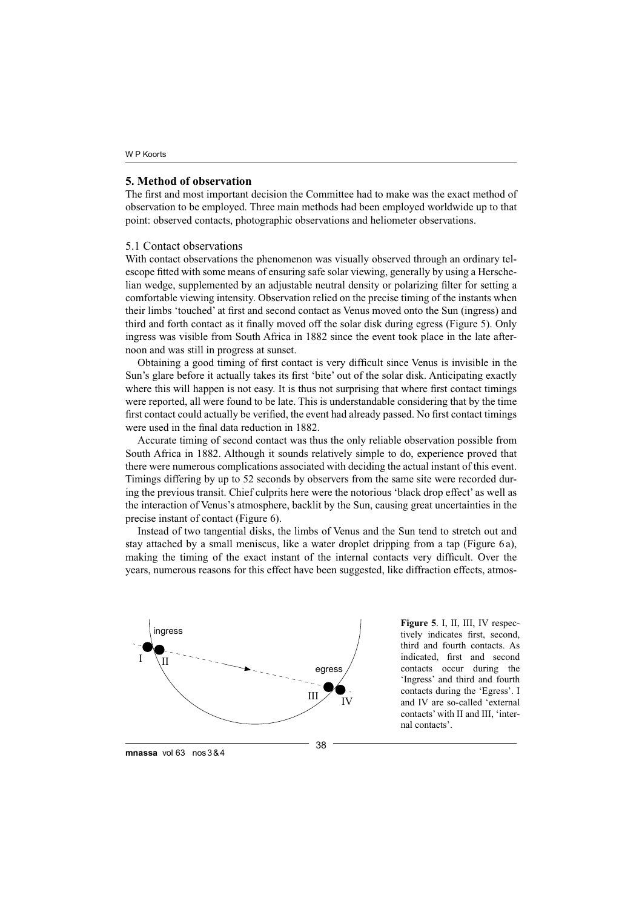# **5. Method of observation**

The first and most important decision the Committee had to make was the exact method of observation to be employed. Three main methods had been employed worldwide up to that point: observed contacts, photographic observations and heliometer observations.

## 5.1 Contact observations

With contact observations the phenomenon was visually observed through an ordinary telescope fitted with some means of ensuring safe solar viewing, generally by using a Herschelian wedge, supplemented by an adjustable neutral density or polarizing filter for setting a comfortable viewing intensity. Observation relied on the precise timing of the instants when their limbs 'touched' at first and second contact as Venus moved onto the Sun (ingress) and third and forth contact as it finally moved off the solar disk during egress (Figure 5). Only ingress was visible from South Africa in 1882 since the event took place in the late afternoon and was still in progress at sunset.

Obtaining a good timing of first contact is very difficult since Venus is invisible in the Sun's glare before it actually takes its first 'bite' out of the solar disk. Anticipating exactly where this will happen is not easy. It is thus not surprising that where first contact timings were reported, all were found to be late. This is understandable considering that by the time first contact could actually be verified, the event had already passed. No first contact timings were used in the final data reduction in 1882.

Accurate timing of second contact was thus the only reliable observation possible from South Africa in 1882. Although it sounds relatively simple to do, experience proved that there were numerous complications associated with deciding the actual instant of this event. Timings differing by up to 52 seconds by observers from the same site were recorded during the previous transit. Chief culprits here were the notorious 'black drop effect' as well as the interaction of Venus's atmosphere, backlit by the Sun, causing great uncertainties in the precise instant of contact (Figure 6).

Instead of two tangential disks, the limbs of Venus and the Sun tend to stretch out and stay attached by a small meniscus, like a water droplet dripping from a tap (Figure 6 a), making the timing of the exact instant of the internal contacts very difficult. Over the years, numerous reasons for this effect have been suggested, like diffraction effects, atmos-



**Figure 5**. I, II, III, IV respectively indicates first, second, third and fourth contacts. As indicated, first and second contacts occur during the 'Ingress' and third and fourth contacts during the 'Egress'. I and IV are so-called 'external contacts' with II and III, 'internal contacts'.

**mnassa** vol 63 nos 3 & 4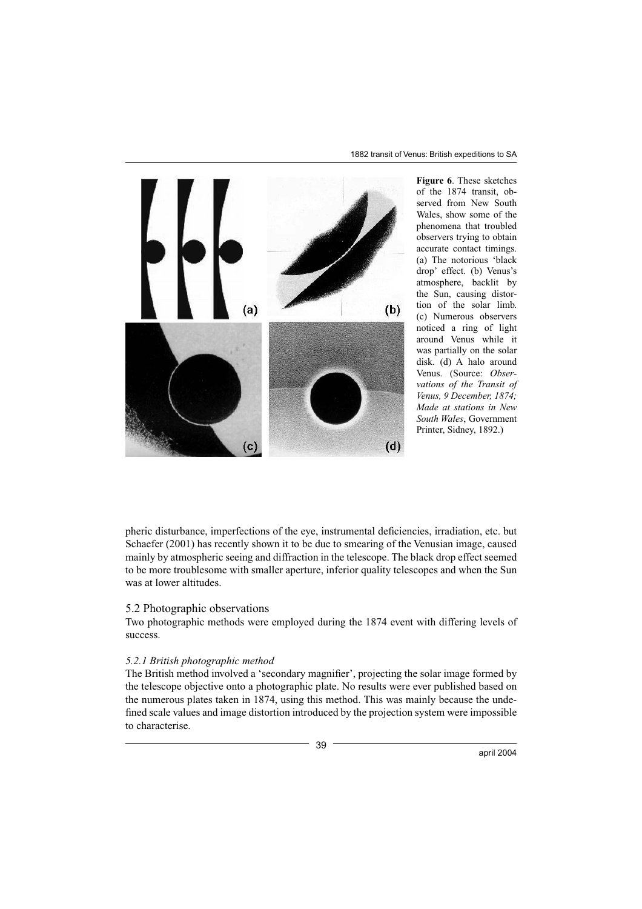

**Figure 6**. These sketches of the 1874 transit, observed from New South Wales, show some of the phenomena that troubled observers trying to obtain accurate contact timings. (a) The notorious 'black drop' effect. (b) Venus's atmosphere, backlit by the Sun, causing distortion of the solar limb. (c) Numerous observers noticed a ring of light around Venus while it was partially on the solar disk. (d) A halo around Venus. (Source: *Observations of the Transit of Venus, 9 December, 1874; Made at stations in New South Wales*, Government Printer, Sidney, 1892.)

pheric disturbance, imperfections of the eye, instrumental deficiencies, irradiation, etc. but Schaefer (2001) has recently shown it to be due to smearing of the Venusian image, caused mainly by atmospheric seeing and diffraction in the telescope. The black drop effect seemed to be more troublesome with smaller aperture, inferior quality telescopes and when the Sun was at lower altitudes.

### 5.2 Photographic observations

Two photographic methods were employed during the 1874 event with differing levels of success.

# *5.2.1 British photographic method*

The British method involved a 'secondary magnifier', projecting the solar image formed by the telescope objective onto a photographic plate. No results were ever published based on the numerous plates taken in 1874, using this method. This was mainly because the undefined scale values and image distortion introduced by the projection system were impossible to characterise.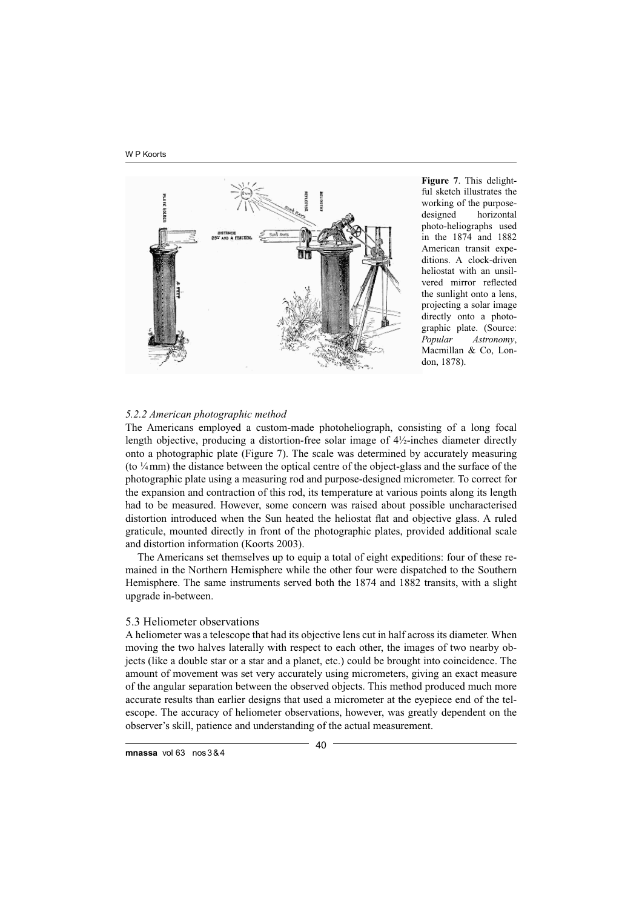W P Koorts



**Figure 7**. This delightful sketch illustrates the working of the purposedesigned horizontal photo-heliographs used in the 1874 and 1882 American transit expeditions. A clock-driven heliostat with an unsilvered mirror reflected the sunlight onto a lens, projecting a solar image directly onto a photographic plate. (Source: *Popular Astronomy*, Macmillan & Co, London, 1878).

### *5.2.2 American photographic method*

The Americans employed a custom-made photoheliograph, consisting of a long focal length objective, producing a distortion-free solar image of 4½-inches diameter directly onto a photographic plate (Figure 7). The scale was determined by accurately measuring (to ¼ mm) the distance between the optical centre of the object-glass and the surface of the photographic plate using a measuring rod and purpose-designed micrometer. To correct for the expansion and contraction of this rod, its temperature at various points along its length had to be measured. However, some concern was raised about possible uncharacterised distortion introduced when the Sun heated the heliostat flat and objective glass. A ruled graticule, mounted directly in front of the photographic plates, provided additional scale and distortion information (Koorts 2003).

The Americans set themselves up to equip a total of eight expeditions: four of these remained in the Northern Hemisphere while the other four were dispatched to the Southern Hemisphere. The same instruments served both the 1874 and 1882 transits, with a slight upgrade in-between.

# 5.3 Heliometer observations

A heliometer was a telescope that had its objective lens cut in half across its diameter. When moving the two halves laterally with respect to each other, the images of two nearby objects (like a double star or a star and a planet, etc.) could be brought into coincidence. The amount of movement was set very accurately using micrometers, giving an exact measure of the angular separation between the observed objects. This method produced much more accurate results than earlier designs that used a micrometer at the eyepiece end of the telescope. The accuracy of heliometer observations, however, was greatly dependent on the observer's skill, patience and understanding of the actual measurement.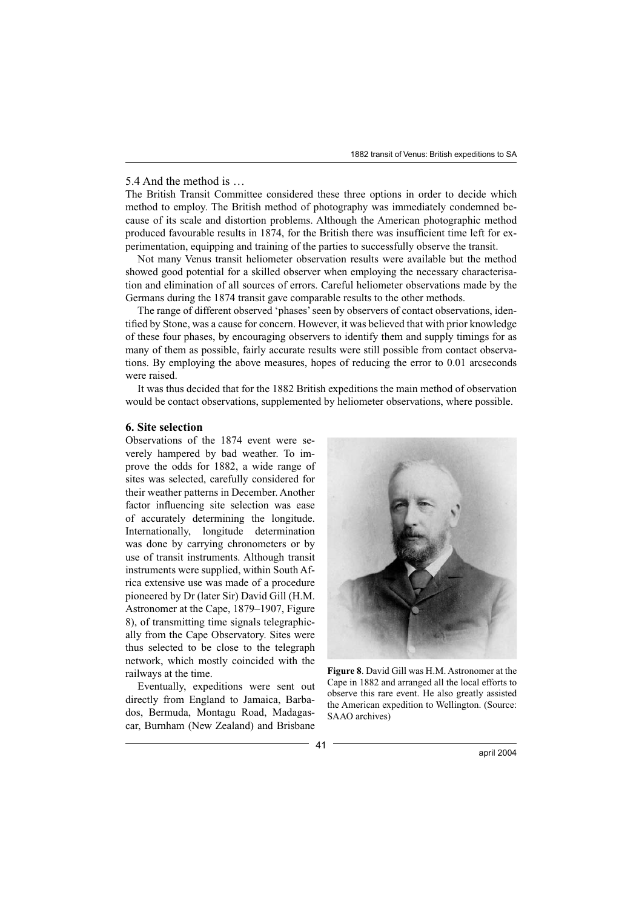# 5.4 And the method is …

The British Transit Committee considered these three options in order to decide which method to employ. The British method of photography was immediately condemned because of its scale and distortion problems. Although the American photographic method produced favourable results in 1874, for the British there was insufficient time left for experimentation, equipping and training of the parties to successfully observe the transit.

Not many Venus transit heliometer observation results were available but the method showed good potential for a skilled observer when employing the necessary characterisation and elimination of all sources of errors. Careful heliometer observations made by the Germans during the 1874 transit gave comparable results to the other methods.

The range of different observed 'phases' seen by observers of contact observations, identified by Stone, was a cause for concern. However, it was believed that with prior knowledge of these four phases, by encouraging observers to identify them and supply timings for as many of them as possible, fairly accurate results were still possible from contact observations. By employing the above measures, hopes of reducing the error to 0.01 arcseconds were raised.

It was thus decided that for the 1882 British expeditions the main method of observation would be contact observations, supplemented by heliometer observations, where possible.

### **6. Site selection**

Observations of the 1874 event were severely hampered by bad weather. To improve the odds for 1882, a wide range of sites was selected, carefully considered for their weather patterns in December. Another factor influencing site selection was ease of accurately determining the longitude. Internationally, longitude determination was done by carrying chronometers or by use of transit instruments. Although transit instruments were supplied, within South Africa extensive use was made of a procedure pioneered by Dr (later Sir) David Gill (H.M. Astronomer at the Cape, 1879–1907, Figure 8), of transmitting time signals telegraphically from the Cape Observatory. Sites were thus selected to be close to the telegraph network, which mostly coincided with the railways at the time.

Eventually, expeditions were sent out directly from England to Jamaica, Barbados, Bermuda, Montagu Road, Madagascar, Burnham (New Zealand) and Brisbane



**Figure 8**. David Gill was H.M. Astronomer at the Cape in 1882 and arranged all the local efforts to observe this rare event. He also greatly assisted the American expedition to Wellington. (Source: SAAO archives)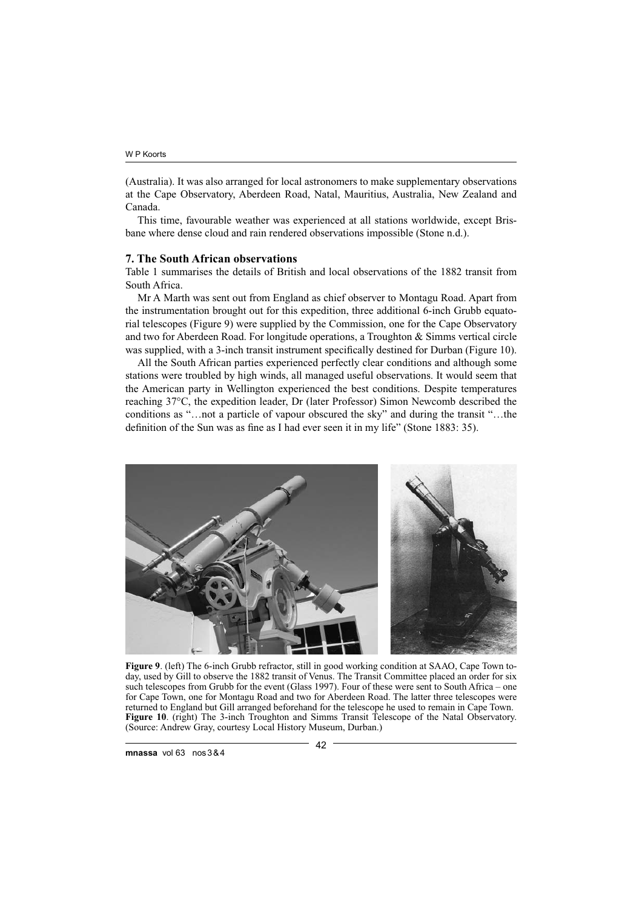(Australia). It was also arranged for local astronomers to make supplementary observations at the Cape Observatory, Aberdeen Road, Natal, Mauritius, Australia, New Zealand and Canada.

This time, favourable weather was experienced at all stations worldwide, except Brisbane where dense cloud and rain rendered observations impossible (Stone n.d.).

### **7. The South African observations**

Table 1 summarises the details of British and local observations of the 1882 transit from South Africa.

Mr A Marth was sent out from England as chief observer to Montagu Road. Apart from the instrumentation brought out for this expedition, three additional 6-inch Grubb equatorial telescopes (Figure 9) were supplied by the Commission, one for the Cape Observatory and two for Aberdeen Road. For longitude operations, a Troughton & Simms vertical circle was supplied, with a 3-inch transit instrument specifically destined for Durban (Figure 10).

All the South African parties experienced perfectly clear conditions and although some stations were troubled by high winds, all managed useful observations. It would seem that the American party in Wellington experienced the best conditions. Despite temperatures reaching 37°C, the expedition leader, Dr (later Professor) Simon Newcomb described the conditions as "…not a particle of vapour obscured the sky" and during the transit "…the definition of the Sun was as fine as I had ever seen it in my life" (Stone 1883: 35).



**Figure 9**. (left) The 6-inch Grubb refractor, still in good working condition at SAAO, Cape Town today, used by Gill to observe the 1882 transit of Venus. The Transit Committee placed an order for six such telescopes from Grubb for the event (Glass 1997). Four of these were sent to South Africa – one for Cape Town, one for Montagu Road and two for Aberdeen Road. The latter three telescopes were returned to England but Gill arranged beforehand for the telescope he used to remain in Cape Town. **Figure 10**. (right) The 3-inch Troughton and Simms Transit Telescope of the Natal Observatory. (Source: Andrew Gray, courtesy Local History Museum, Durban.)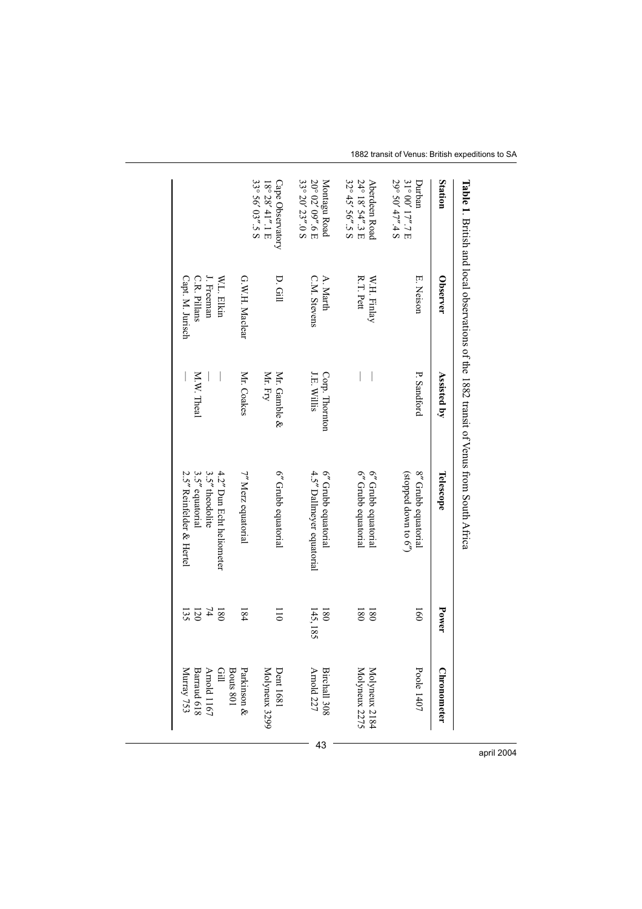| $\Xi$ and $\Xi$ . This is and local observations of the 1882 transit of $\chi^{\rm{max}}_{\rm{B}}$ are solution of $\chi^{\rm{min}}_{\rm{B}}$ |                                  |                                       |                                                           |                       |                                |
|-----------------------------------------------------------------------------------------------------------------------------------------------|----------------------------------|---------------------------------------|-----------------------------------------------------------|-----------------------|--------------------------------|
| Station                                                                                                                                       | <b>Observer</b>                  | Assisted by                           | Telescope                                                 | Power                 | <b>Chronometer</b>             |
| 29° 50' 47".4 S<br>31° 00' 17".7 E<br>Durbar                                                                                                  | E. Neison                        | P. Sandford                           | 8" Grubb equatorial<br>(65 or need down to 6 <sup>7</sup> | $\overline{160}$      | Poole 1407                     |
| 32° 45' 56".5 S<br>24° 18' 54".3 E<br>Aberdeen Road                                                                                           | R.T. Pett<br>W.H. Finlay         | $\begin{array}{c} \hline \end{array}$ | 6" Grubb equatorial<br>6" Grubb equatorial                | 180<br>180            | Molyneux 2184<br>Molyneux 2275 |
| 33° 20' 23".0 S<br>20° 02' 09".6 E<br>Montagu Road                                                                                            | C.M. Stevens<br>A. Marth         | <b>J.E. Willis</b><br>Corp. Thornton  | 4.5" Dallmeyer equatorial<br>6" Grubb equatorial          | 145,185<br><b>180</b> | Arnold 227<br>Birchall 308     |
| 33° 56' 03".5 S<br>Cape Observatory<br>$18^{\circ}$ 28' 41".1 E                                                                               | D. Gill                          | Mr. Fry<br>Mr. Gamble &               | 6" Grubb equatorial                                       | $\overline{0}$        | Molyneux 3299<br>Dent 1681     |
|                                                                                                                                               | G.W.H. Maclear                   | Mr. Coakes                            | 7" Merz equatorial                                        | 184                   | Bouts 801<br>Parkinson &       |
|                                                                                                                                               | J. Freeman<br>W.L. Elkin         |                                       | 3.5" theodolite<br>4.2" Dun Echt heilomer                 | $\overline{7}$<br>180 | Arnold 1167<br>Gill            |
|                                                                                                                                               | Capt. M. Jurisch<br>C.R. Pillans | M.W. Theal                            | 2.5" Reinfelder & Hertel<br>3.5" equatorial               | 120<br>135            | Barraud 618<br>Murray 753      |

1882 transit of Venus: British expeditions to SA

april 2004

 $-43$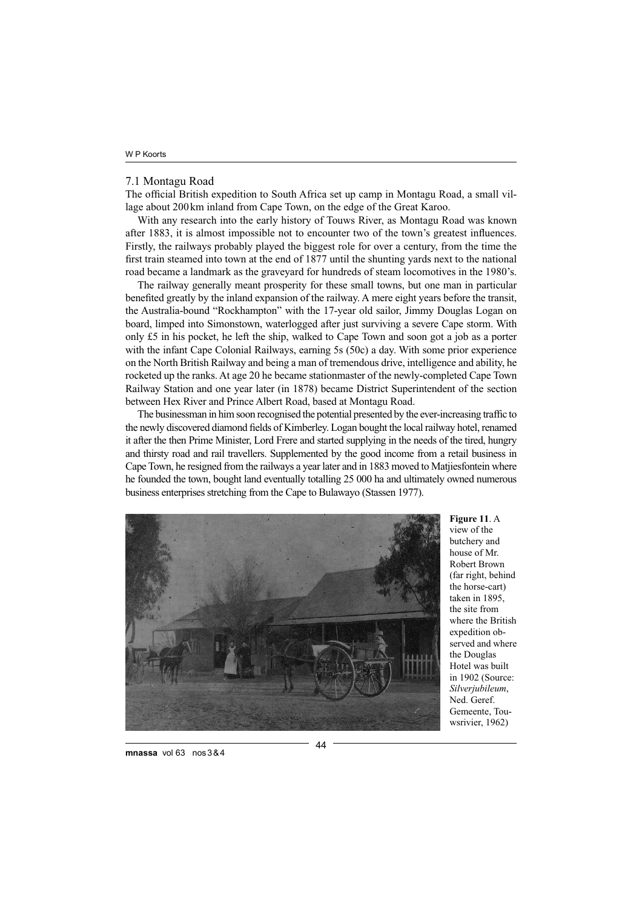### 7.1 Montagu Road

The official British expedition to South Africa set up camp in Montagu Road, a small village about 200 km inland from Cape Town, on the edge of the Great Karoo.

With any research into the early history of Touws River, as Montagu Road was known after 1883, it is almost impossible not to encounter two of the town's greatest influences. Firstly, the railways probably played the biggest role for over a century, from the time the first train steamed into town at the end of 1877 until the shunting yards next to the national road became a landmark as the graveyard for hundreds of steam locomotives in the 1980's.

The railway generally meant prosperity for these small towns, but one man in particular benefited greatly by the inland expansion of the railway. A mere eight years before the transit, the Australia-bound "Rockhampton" with the 17-year old sailor, Jimmy Douglas Logan on board, limped into Simonstown, waterlogged after just surviving a severe Cape storm. With only £5 in his pocket, he left the ship, walked to Cape Town and soon got a job as a porter with the infant Cape Colonial Railways, earning 5s (50c) a day. With some prior experience on the North British Railway and being a man of tremendous drive, intelligence and ability, he rocketed up the ranks. At age 20 he became stationmaster of the newly-completed Cape Town Railway Station and one year later (in 1878) became District Superintendent of the section between Hex River and Prince Albert Road, based at Montagu Road.

The businessman in him soon recognised the potential presented by the ever-increasing traffic to the newly discovered diamond fields of Kimberley. Logan bought the local railway hotel, renamed it after the then Prime Minister, Lord Frere and started supplying in the needs of the tired, hungry and thirsty road and rail travellers. Supplemented by the good income from a retail business in Cape Town, he resigned from the railways a year later and in 1883 moved to Matjiesfontein where he founded the town, bought land eventually totalling 25 000 ha and ultimately owned numerous business enterprises stretching from the Cape to Bulawayo (Stassen 1977).



**Figure 11**. A view of the butchery and house of Mr. Robert Brown (far right, behind the horse-cart) taken in 1895, the site from where the British expedition observed and where the Douglas Hotel was built in 1902 (Source: *Silverjubileum*, Ned. Geref. Gemeente, Touwsrivier, 1962)

**mnassa** vol 63 nos 3 & 4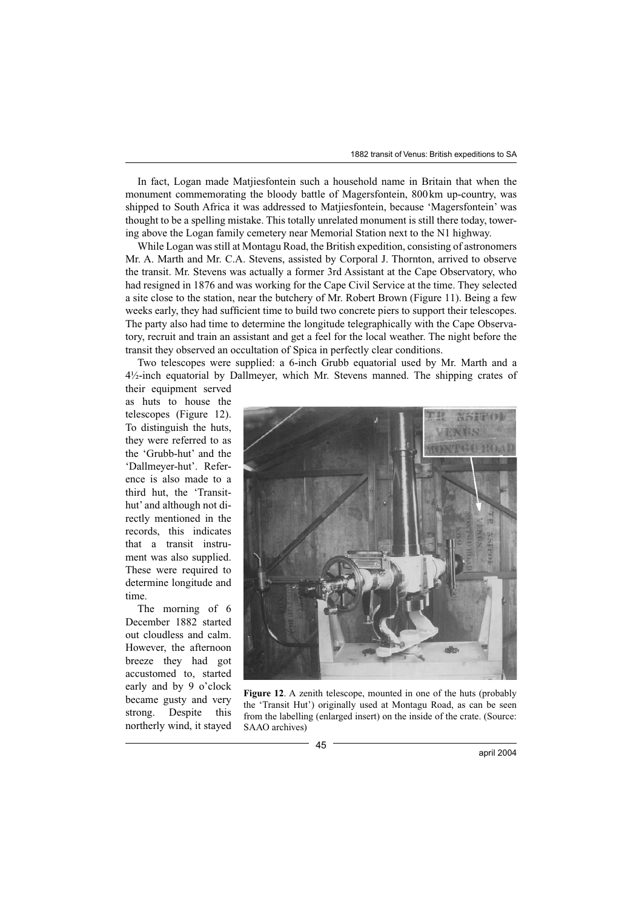In fact, Logan made Matjiesfontein such a household name in Britain that when the monument commemorating the bloody battle of Magersfontein, 800 km up-country, was shipped to South Africa it was addressed to Matjiesfontein, because 'Magersfontein' was thought to be a spelling mistake. This totally unrelated monument is still there today, towering above the Logan family cemetery near Memorial Station next to the N1 highway.

While Logan was still at Montagu Road, the British expedition, consisting of astronomers Mr. A. Marth and Mr. C.A. Stevens, assisted by Corporal J. Thornton, arrived to observe the transit. Mr. Stevens was actually a former 3rd Assistant at the Cape Observatory, who had resigned in 1876 and was working for the Cape Civil Service at the time. They selected a site close to the station, near the butchery of Mr. Robert Brown (Figure 11). Being a few weeks early, they had sufficient time to build two concrete piers to support their telescopes. The party also had time to determine the longitude telegraphically with the Cape Observatory, recruit and train an assistant and get a feel for the local weather. The night before the transit they observed an occultation of Spica in perfectly clear conditions.

Two telescopes were supplied: a 6-inch Grubb equatorial used by Mr. Marth and a 4½-inch equatorial by Dallmeyer, which Mr. Stevens manned. The shipping crates of their equipment served

as huts to house the telescopes (Figure 12). To distinguish the huts, they were referred to as the 'Grubb-hut' and the 'Dallmeyer-hut'. Reference is also made to a third hut, the 'Transithut' and although not directly mentioned in the records, this indicates that a transit instrument was also supplied. These were required to determine longitude and time.

The morning of 6 December 1882 started out cloudless and calm. However, the afternoon breeze they had got accustomed to, started early and by 9 o'clock became gusty and very strong. Despite this northerly wind, it stayed



Figure 12. A zenith telescope, mounted in one of the huts (probably the 'Transit Hut') originally used at Montagu Road, as can be seen from the labelling (enlarged insert) on the inside of the crate. (Source: SAAO archives)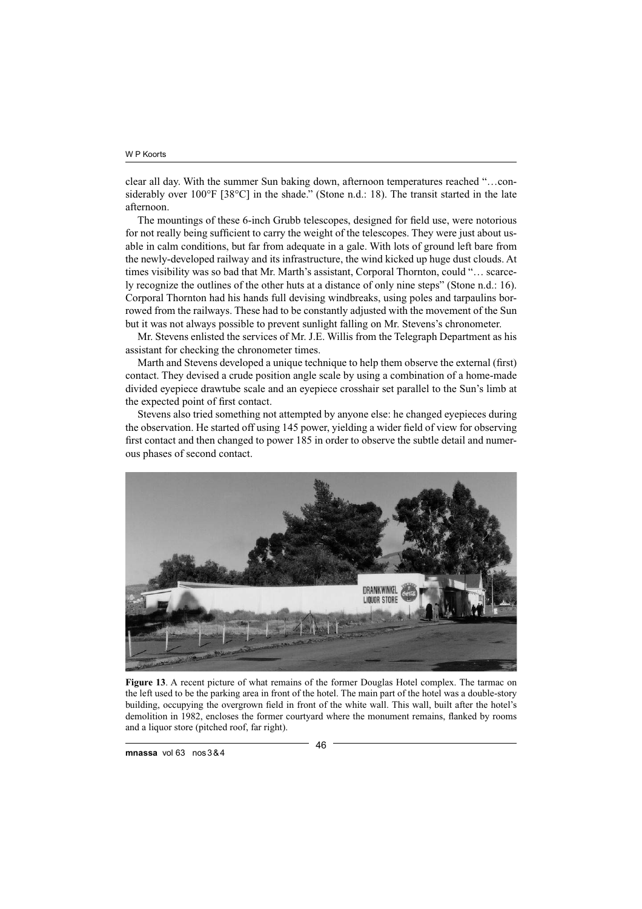clear all day. With the summer Sun baking down, afternoon temperatures reached "…considerably over 100°F [38°C] in the shade." (Stone n.d.: 18). The transit started in the late afternoon.

The mountings of these 6-inch Grubb telescopes, designed for field use, were notorious for not really being sufficient to carry the weight of the telescopes. They were just about usable in calm conditions, but far from adequate in a gale. With lots of ground left bare from the newly-developed railway and its infrastructure, the wind kicked up huge dust clouds. At times visibility was so bad that Mr. Marth's assistant, Corporal Thornton, could "… scarcely recognize the outlines of the other huts at a distance of only nine steps" (Stone n.d.: 16). Corporal Thornton had his hands full devising windbreaks, using poles and tarpaulins borrowed from the railways. These had to be constantly adjusted with the movement of the Sun but it was not always possible to prevent sunlight falling on Mr. Stevens's chronometer.

Mr. Stevens enlisted the services of Mr. J.E. Willis from the Telegraph Department as his assistant for checking the chronometer times.

Marth and Stevens developed a unique technique to help them observe the external (first) contact. They devised a crude position angle scale by using a combination of a home-made divided eyepiece drawtube scale and an eyepiece crosshair set parallel to the Sun's limb at the expected point of first contact.

Stevens also tried something not attempted by anyone else: he changed eyepieces during the observation. He started off using 145 power, yielding a wider field of view for observing first contact and then changed to power 185 in order to observe the subtle detail and numerous phases of second contact.



**Figure 13**. A recent picture of what remains of the former Douglas Hotel complex. The tarmac on the left used to be the parking area in front of the hotel. The main part of the hotel was a double-story building, occupying the overgrown field in front of the white wall. This wall, built after the hotel's demolition in 1982, encloses the former courtyard where the monument remains, flanked by rooms and a liquor store (pitched roof, far right).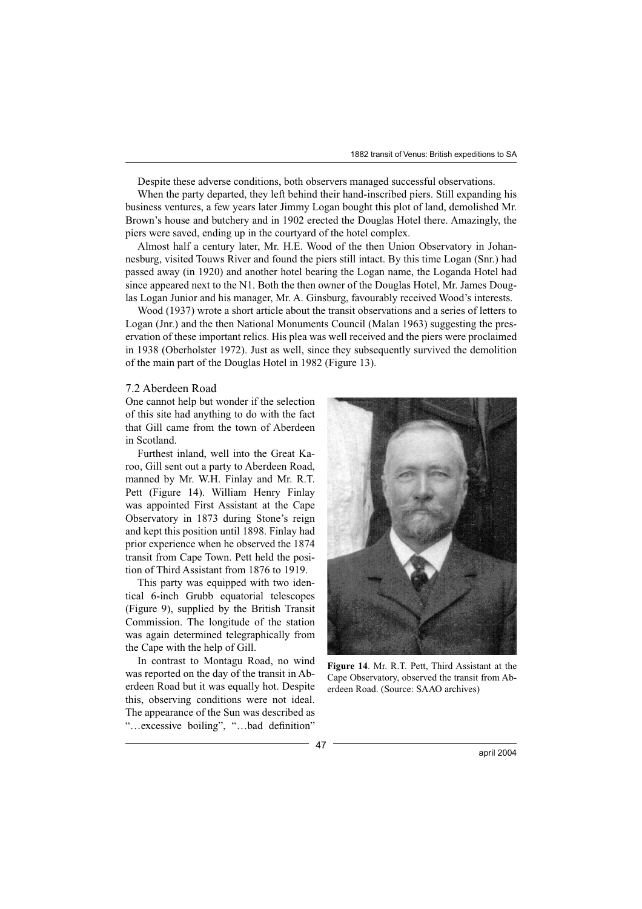Despite these adverse conditions, both observers managed successful observations.

When the party departed, they left behind their hand-inscribed piers. Still expanding his business ventures, a few years later Jimmy Logan bought this plot of land, demolished Mr. Brown's house and butchery and in 1902 erected the Douglas Hotel there. Amazingly, the piers were saved, ending up in the courtyard of the hotel complex.

Almost half a century later, Mr. H.E. Wood of the then Union Observatory in Johannesburg, visited Touws River and found the piers still intact. By this time Logan (Snr.) had passed away (in 1920) and another hotel bearing the Logan name, the Loganda Hotel had since appeared next to the N1. Both the then owner of the Douglas Hotel, Mr. James Douglas Logan Junior and his manager, Mr. A. Ginsburg, favourably received Wood's interests.

Wood (1937) wrote a short article about the transit observations and a series of letters to Logan (Jnr.) and the then National Monuments Council (Malan 1963) suggesting the preservation of these important relics. His plea was well received and the piers were proclaimed in 1938 (Oberholster 1972). Just as well, since they subsequently survived the demolition of the main part of the Douglas Hotel in 1982 (Figure 13).

### 7.2 Aberdeen Road

One cannot help but wonder if the selection of this site had anything to do with the fact that Gill came from the town of Aberdeen in Scotland.

Furthest inland, well into the Great Karoo, Gill sent out a party to Aberdeen Road, manned by Mr. W.H. Finlay and Mr. R.T. Pett (Figure 14). William Henry Finlay was appointed First Assistant at the Cape Observatory in 1873 during Stone's reign and kept this position until 1898. Finlay had prior experience when he observed the 1874 transit from Cape Town. Pett held the position of Third Assistant from 1876 to 1919.

This party was equipped with two identical 6-inch Grubb equatorial telescopes (Figure 9), supplied by the British Transit Commission. The longitude of the station was again determined telegraphically from the Cape with the help of Gill.

In contrast to Montagu Road, no wind was reported on the day of the transit in Aberdeen Road but it was equally hot. Despite this, observing conditions were not ideal. The appearance of the Sun was described as "...excessive boiling", "...bad definition"



**Figure 14**. Mr. R.T. Pett, Third Assistant at the Cape Observatory, observed the transit from Aberdeen Road. (Source: SAAO archives)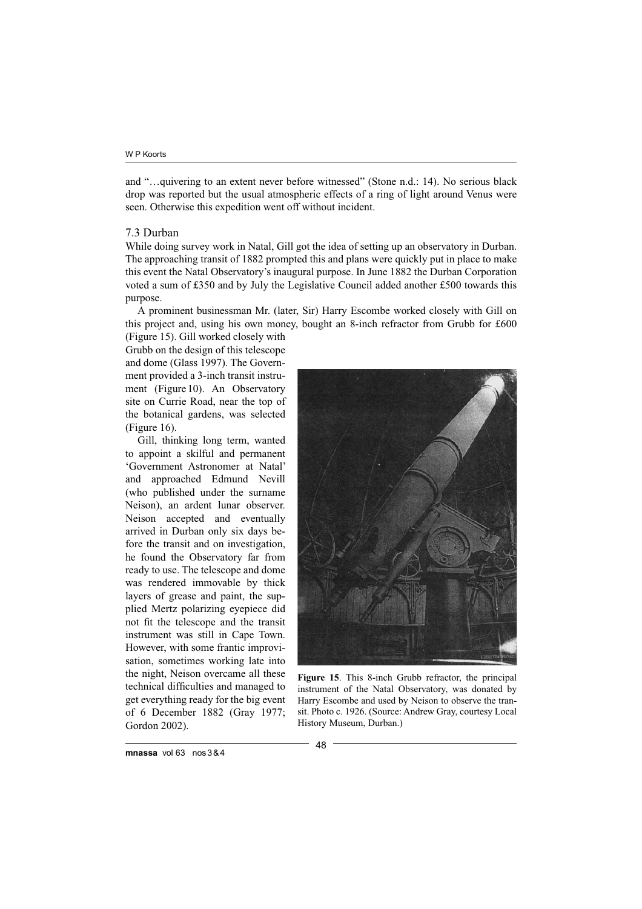and "…quivering to an extent never before witnessed" (Stone n.d.: 14). No serious black drop was reported but the usual atmospheric effects of a ring of light around Venus were seen. Otherwise this expedition went off without incident.

# 7.3 Durban

While doing survey work in Natal, Gill got the idea of setting up an observatory in Durban. The approaching transit of 1882 prompted this and plans were quickly put in place to make this event the Natal Observatory's inaugural purpose. In June 1882 the Durban Corporation voted a sum of £350 and by July the Legislative Council added another £500 towards this purpose.

A prominent businessman Mr. (later, Sir) Harry Escombe worked closely with Gill on this project and, using his own money, bought an 8-inch refractor from Grubb for £600

(Figure 15). Gill worked closely with Grubb on the design of this telescope and dome (Glass 1997). The Government provided a 3-inch transit instrument (Figure 10). An Observatory site on Currie Road, near the top of the botanical gardens, was selected (Figure 16).

Gill, thinking long term, wanted to appoint a skilful and permanent 'Government Astronomer at Natal' and approached Edmund Nevill (who published under the surname Neison), an ardent lunar observer. Neison accepted and eventually arrived in Durban only six days before the transit and on investigation, he found the Observatory far from ready to use. The telescope and dome was rendered immovable by thick layers of grease and paint, the supplied Mertz polarizing eyepiece did not fit the telescope and the transit instrument was still in Cape Town. However, with some frantic improvisation, sometimes working late into the night, Neison overcame all these technical difficulties and managed to get everything ready for the big event of 6 December 1882 (Gray 1977; Gordon 2002).



**Figure 15**. This 8-inch Grubb refractor, the principal instrument of the Natal Observatory, was donated by Harry Escombe and used by Neison to observe the transit. Photo c. 1926. (Source: Andrew Gray, courtesy Local History Museum, Durban.)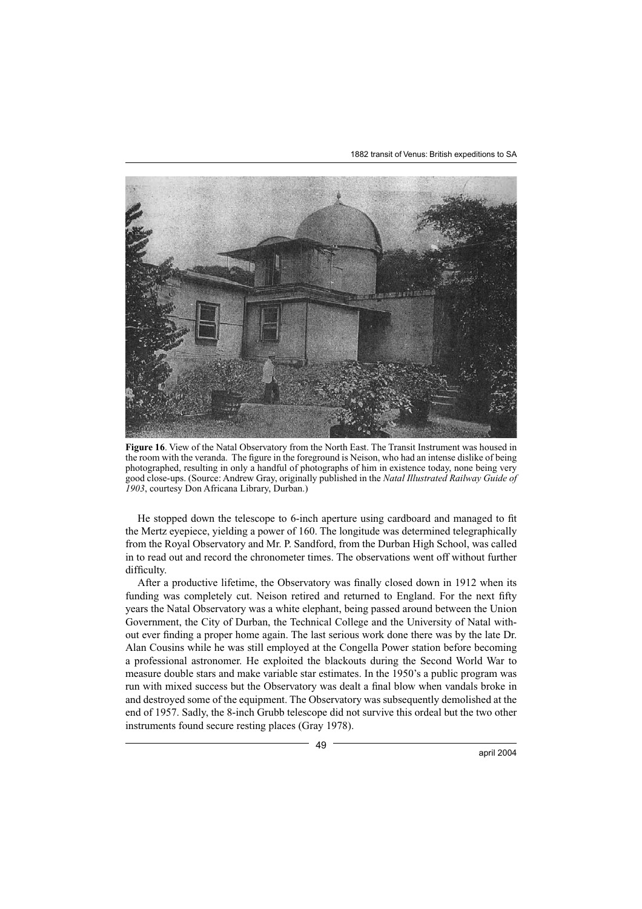1882 transit of Venus: British expeditions to SA



**Figure 16**. View of the Natal Observatory from the North East. The Transit Instrument was housed in the room with the veranda. The figure in the foreground is Neison, who had an intense dislike of being photographed, resulting in only a handful of photographs of him in existence today, none being very good close-ups. (Source: Andrew Gray, originally published in the *Natal Illustrated Railway Guide of 1903*, courtesy Don Africana Library, Durban.)

He stopped down the telescope to 6-inch aperture using cardboard and managed to fit the Mertz eyepiece, yielding a power of 160. The longitude was determined telegraphically from the Royal Observatory and Mr. P. Sandford, from the Durban High School, was called in to read out and record the chronometer times. The observations went off without further difficulty.

After a productive lifetime, the Observatory was finally closed down in 1912 when its funding was completely cut. Neison retired and returned to England. For the next fifty years the Natal Observatory was a white elephant, being passed around between the Union Government, the City of Durban, the Technical College and the University of Natal without ever finding a proper home again. The last serious work done there was by the late Dr. Alan Cousins while he was still employed at the Congella Power station before becoming a professional astronomer. He exploited the blackouts during the Second World War to measure double stars and make variable star estimates. In the 1950's a public program was run with mixed success but the Observatory was dealt a final blow when vandals broke in and destroyed some of the equipment. The Observatory was subsequently demolished at the end of 1957. Sadly, the 8-inch Grubb telescope did not survive this ordeal but the two other instruments found secure resting places (Gray 1978).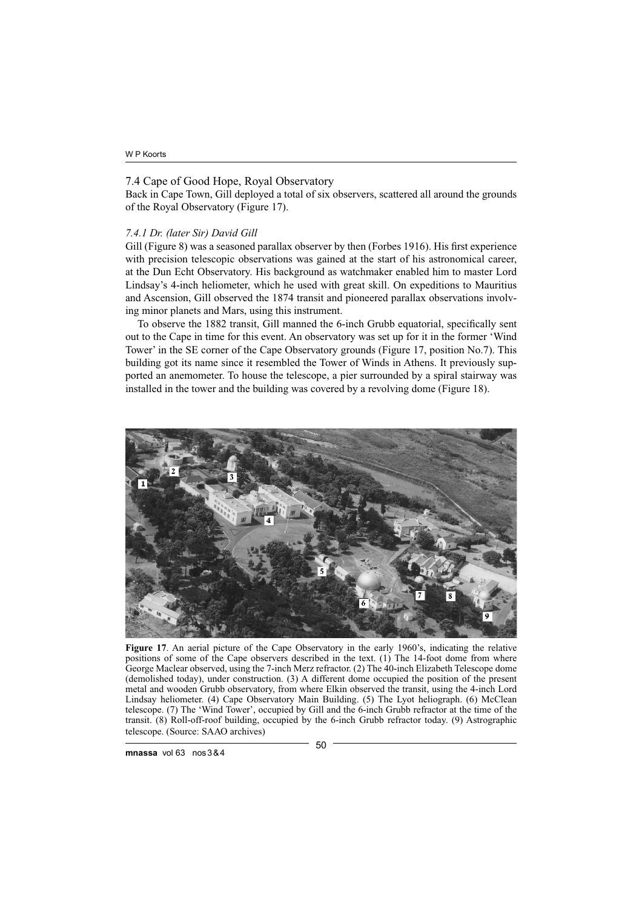# 7.4 Cape of Good Hope, Royal Observatory

Back in Cape Town, Gill deployed a total of six observers, scattered all around the grounds of the Royal Observatory (Figure 17).

# *7.4.1 Dr. (later Sir) David Gill*

Gill (Figure 8) was a seasoned parallax observer by then (Forbes 1916). His first experience with precision telescopic observations was gained at the start of his astronomical career, at the Dun Echt Observatory. His background as watchmaker enabled him to master Lord Lindsay's 4-inch heliometer, which he used with great skill. On expeditions to Mauritius and Ascension, Gill observed the 1874 transit and pioneered parallax observations involving minor planets and Mars, using this instrument.

To observe the 1882 transit, Gill manned the 6-inch Grubb equatorial, specifically sent out to the Cape in time for this event. An observatory was set up for it in the former 'Wind Tower' in the SE corner of the Cape Observatory grounds (Figure 17, position No.7). This building got its name since it resembled the Tower of Winds in Athens. It previously supported an anemometer. To house the telescope, a pier surrounded by a spiral stairway was installed in the tower and the building was covered by a revolving dome (Figure 18).



**Figure 17**. An aerial picture of the Cape Observatory in the early 1960's, indicating the relative positions of some of the Cape observers described in the text. (1) The 14-foot dome from where George Maclear observed, using the 7-inch Merz refractor. (2) The 40-inch Elizabeth Telescope dome (demolished today), under construction. (3) A different dome occupied the position of the present metal and wooden Grubb observatory, from where Elkin observed the transit, using the 4-inch Lord Lindsay heliometer. (4) Cape Observatory Main Building. (5) The Lyot heliograph. (6) McClean telescope. (7) The 'Wind Tower', occupied by Gill and the 6-inch Grubb refractor at the time of the transit. (8) Roll-off-roof building, occupied by the 6-inch Grubb refractor today. (9) Astrographic telescope. (Source: SAAO archives)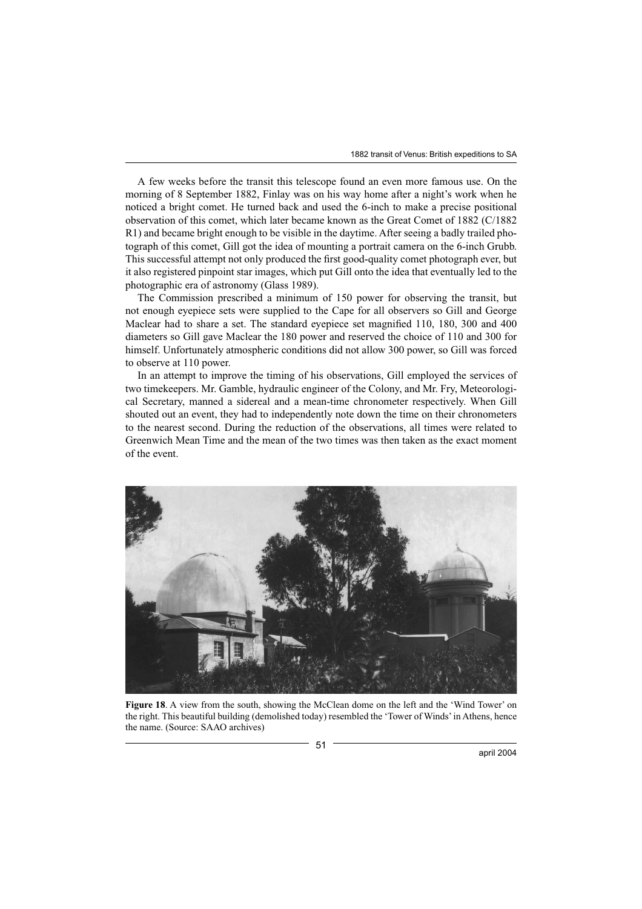1882 transit of Venus: British expeditions to SA

A few weeks before the transit this telescope found an even more famous use. On the morning of 8 September 1882, Finlay was on his way home after a night's work when he noticed a bright comet. He turned back and used the 6-inch to make a precise positional observation of this comet, which later became known as the Great Comet of 1882 (C/1882 R1) and became bright enough to be visible in the daytime. After seeing a badly trailed photograph of this comet, Gill got the idea of mounting a portrait camera on the 6-inch Grubb. This successful attempt not only produced the first good-quality comet photograph ever, but it also registered pinpoint star images, which put Gill onto the idea that eventually led to the photographic era of astronomy (Glass 1989).

The Commission prescribed a minimum of 150 power for observing the transit, but not enough eyepiece sets were supplied to the Cape for all observers so Gill and George Maclear had to share a set. The standard eyepiece set magnified 110, 180, 300 and 400 diameters so Gill gave Maclear the 180 power and reserved the choice of 110 and 300 for himself. Unfortunately atmospheric conditions did not allow 300 power, so Gill was forced to observe at 110 power.

In an attempt to improve the timing of his observations, Gill employed the services of two timekeepers. Mr. Gamble, hydraulic engineer of the Colony, and Mr. Fry, Meteorological Secretary, manned a sidereal and a mean-time chronometer respectively. When Gill shouted out an event, they had to independently note down the time on their chronometers to the nearest second. During the reduction of the observations, all times were related to Greenwich Mean Time and the mean of the two times was then taken as the exact moment of the event.



**Figure 18**. A view from the south, showing the McClean dome on the left and the 'Wind Tower' on the right. This beautiful building (demolished today) resembled the 'Tower of Winds' in Athens, hence the name. (Source: SAAO archives)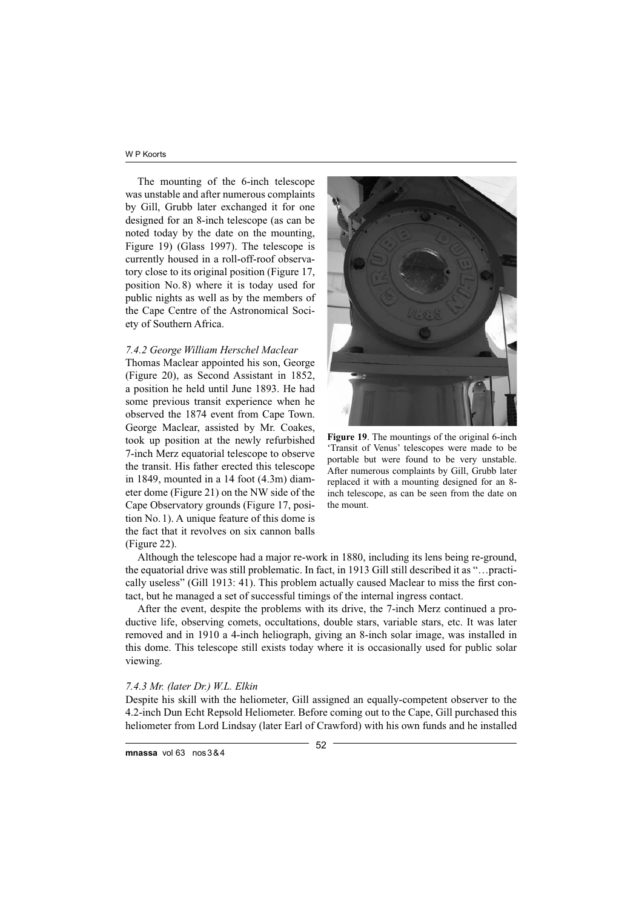The mounting of the 6-inch telescope was unstable and after numerous complaints by Gill, Grubb later exchanged it for one designed for an 8-inch telescope (as can be noted today by the date on the mounting, Figure 19) (Glass 1997). The telescope is currently housed in a roll-off-roof observatory close to its original position (Figure 17, position No. 8) where it is today used for public nights as well as by the members of the Cape Centre of the Astronomical Society of Southern Africa.

# *7.4.2 George William Herschel Maclear*

Thomas Maclear appointed his son, George (Figure 20), as Second Assistant in 1852, a position he held until June 1893. He had some previous transit experience when he observed the 1874 event from Cape Town. George Maclear, assisted by Mr. Coakes, took up position at the newly refurbished 7-inch Merz equatorial telescope to observe the transit. His father erected this telescope in 1849, mounted in a 14 foot (4.3m) diameter dome (Figure 21) on the NW side of the Cape Observatory grounds (Figure 17, position No. 1). A unique feature of this dome is the fact that it revolves on six cannon balls (Figure 22).



**Figure 19**. The mountings of the original 6-inch 'Transit of Venus' telescopes were made to be portable but were found to be very unstable. After numerous complaints by Gill, Grubb later replaced it with a mounting designed for an 8 inch telescope, as can be seen from the date on the mount.

Although the telescope had a major re-work in 1880, including its lens being re-ground, the equatorial drive was still problematic. In fact, in 1913 Gill still described it as "…practically useless" (Gill 1913: 41). This problem actually caused Maclear to miss the first contact, but he managed a set of successful timings of the internal ingress contact.

After the event, despite the problems with its drive, the 7-inch Merz continued a productive life, observing comets, occultations, double stars, variable stars, etc. It was later removed and in 1910 a 4-inch heliograph, giving an 8-inch solar image, was installed in this dome. This telescope still exists today where it is occasionally used for public solar viewing.

#### *7.4.3 Mr. (later Dr.) W.L. Elkin*

Despite his skill with the heliometer, Gill assigned an equally-competent observer to the 4.2-inch Dun Echt Repsold Heliometer. Before coming out to the Cape, Gill purchased this heliometer from Lord Lindsay (later Earl of Crawford) with his own funds and he installed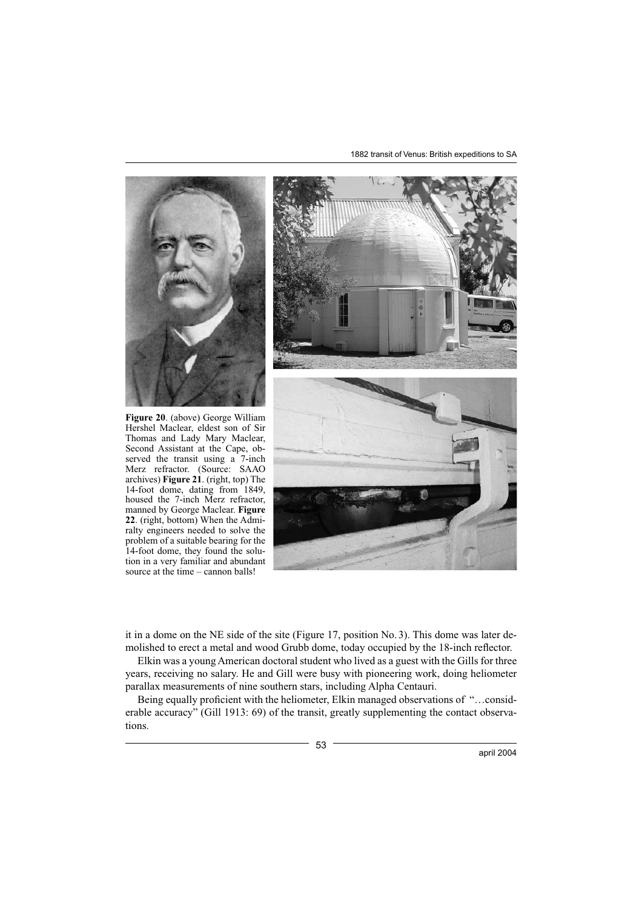1882 transit of Venus: British expeditions to SA



it in a dome on the NE side of the site (Figure 17, position No. 3). This dome was later demolished to erect a metal and wood Grubb dome, today occupied by the 18-inch reflector.

Elkin was a young American doctoral student who lived as a guest with the Gills for three years, receiving no salary. He and Gill were busy with pioneering work, doing heliometer parallax measurements of nine southern stars, including Alpha Centauri.

Being equally proficient with the heliometer, Elkin managed observations of "...considerable accuracy" (Gill 1913: 69) of the transit, greatly supplementing the contact observations.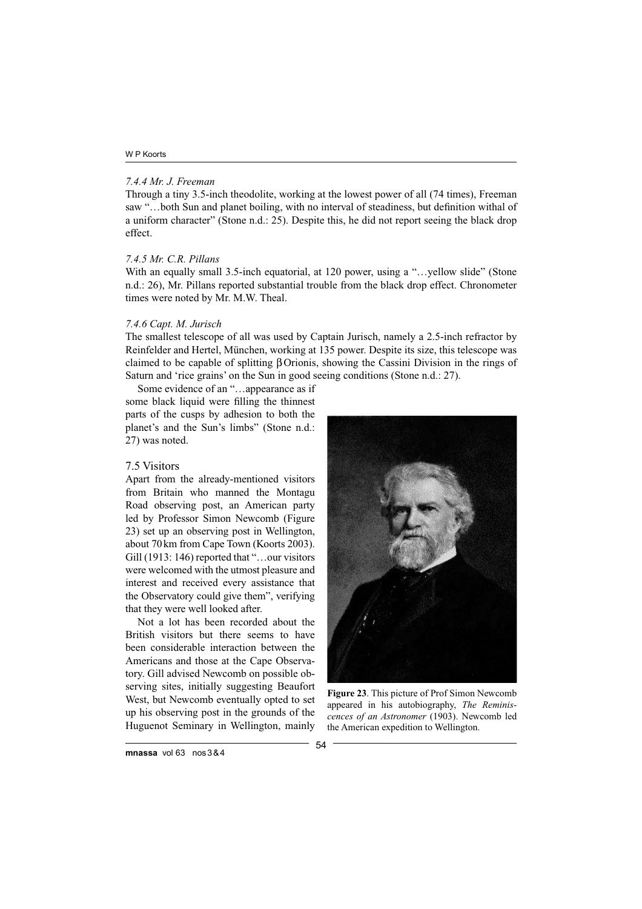## *7.4.4 Mr. J. Freeman*

Through a tiny 3.5-inch theodolite, working at the lowest power of all (74 times), Freeman saw "...both Sun and planet boiling, with no interval of steadiness, but definition withal of a uniform character" (Stone n.d.: 25). Despite this, he did not report seeing the black drop effect.

### *7.4.5 Mr. C.R. Pillans*

With an equally small 3.5-inch equatorial, at 120 power, using a "...yellow slide" (Stone n.d.: 26), Mr. Pillans reported substantial trouble from the black drop effect. Chronometer times were noted by Mr. M.W. Theal.

# *7.4.6 Capt. M. Jurisch*

The smallest telescope of all was used by Captain Jurisch, namely a 2.5-inch refractor by Reinfelder and Hertel, München, working at 135 power. Despite its size, this telescope was claimed to be capable of splitting β Orionis, showing the Cassini Division in the rings of Saturn and 'rice grains' on the Sun in good seeing conditions (Stone n.d.: 27).

Some evidence of an "…appearance as if some black liquid were filling the thinnest parts of the cusps by adhesion to both the planet's and the Sun's limbs" (Stone n.d.: 27) was noted.

### 7.5 Visitors

Apart from the already-mentioned visitors from Britain who manned the Montagu Road observing post, an American party led by Professor Simon Newcomb (Figure 23) set up an observing post in Wellington, about 70 km from Cape Town (Koorts 2003). Gill (1913: 146) reported that "…our visitors were welcomed with the utmost pleasure and interest and received every assistance that the Observatory could give them", verifying that they were well looked after.

Not a lot has been recorded about the British visitors but there seems to have been considerable interaction between the Americans and those at the Cape Observatory. Gill advised Newcomb on possible observing sites, initially suggesting Beaufort West, but Newcomb eventually opted to set up his observing post in the grounds of the Huguenot Seminary in Wellington, mainly



**Figure 23**. This picture of Prof Simon Newcomb appeared in his autobiography, *The Reminiscences of an Astronomer* (1903). Newcomb led the American expedition to Wellington.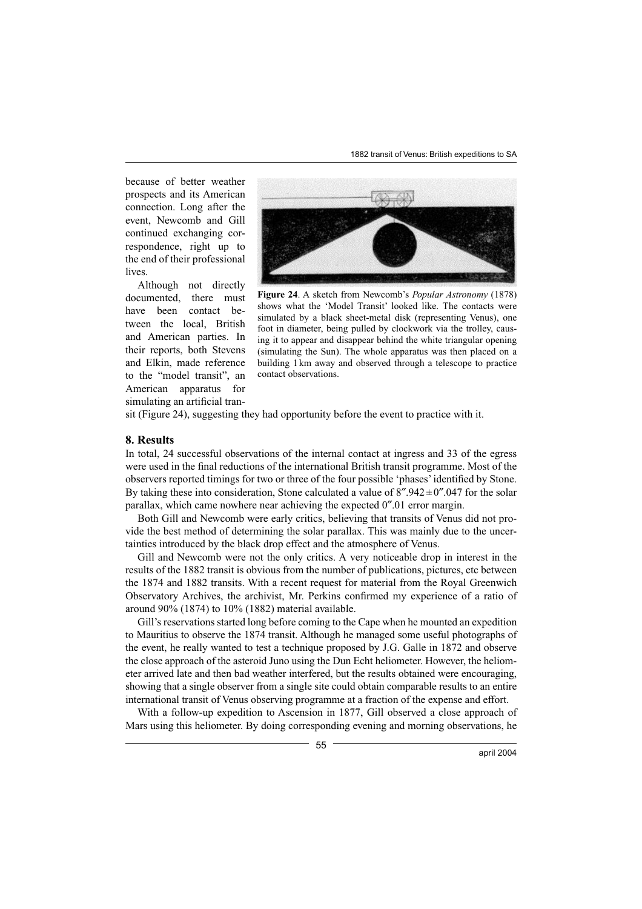because of better weather prospects and its American connection. Long after the event, Newcomb and Gill continued exchanging correspondence, right up to the end of their professional lives.

Although not directly documented, there must have been contact between the local, British and American parties. In their reports, both Stevens and Elkin, made reference to the "model transit", an American apparatus for simulating an artificial tran-



**Figure 24**. A sketch from Newcomb's *Popular Astronomy* (1878) shows what the 'Model Transit' looked like. The contacts were simulated by a black sheet-metal disk (representing Venus), one foot in diameter, being pulled by clockwork via the trolley, causing it to appear and disappear behind the white triangular opening (simulating the Sun). The whole apparatus was then placed on a building 1 km away and observed through a telescope to practice contact observations.

sit (Figure 24), suggesting they had opportunity before the event to practice with it.

### **8. Results**

In total, 24 successful observations of the internal contact at ingress and 33 of the egress were used in the final reductions of the international British transit programme. Most of the observers reported timings for two or three of the four possible 'phases' identified by Stone. By taking these into consideration, Stone calculated a value of  $8''.942 \pm 0''.047$  for the solar parallax, which came nowhere near achieving the expected 0″.01 error margin.

Both Gill and Newcomb were early critics, believing that transits of Venus did not provide the best method of determining the solar parallax. This was mainly due to the uncertainties introduced by the black drop effect and the atmosphere of Venus.

Gill and Newcomb were not the only critics. A very noticeable drop in interest in the results of the 1882 transit is obvious from the number of publications, pictures, etc between the 1874 and 1882 transits. With a recent request for material from the Royal Greenwich Observatory Archives, the archivist, Mr. Perkins confirmed my experience of a ratio of around 90% (1874) to 10% (1882) material available.

Gill's reservations started long before coming to the Cape when he mounted an expedition to Mauritius to observe the 1874 transit. Although he managed some useful photographs of the event, he really wanted to test a technique proposed by J.G. Galle in 1872 and observe the close approach of the asteroid Juno using the Dun Echt heliometer. However, the heliometer arrived late and then bad weather interfered, but the results obtained were encouraging, showing that a single observer from a single site could obtain comparable results to an entire international transit of Venus observing programme at a fraction of the expense and effort.

With a follow-up expedition to Ascension in 1877, Gill observed a close approach of Mars using this heliometer. By doing corresponding evening and morning observations, he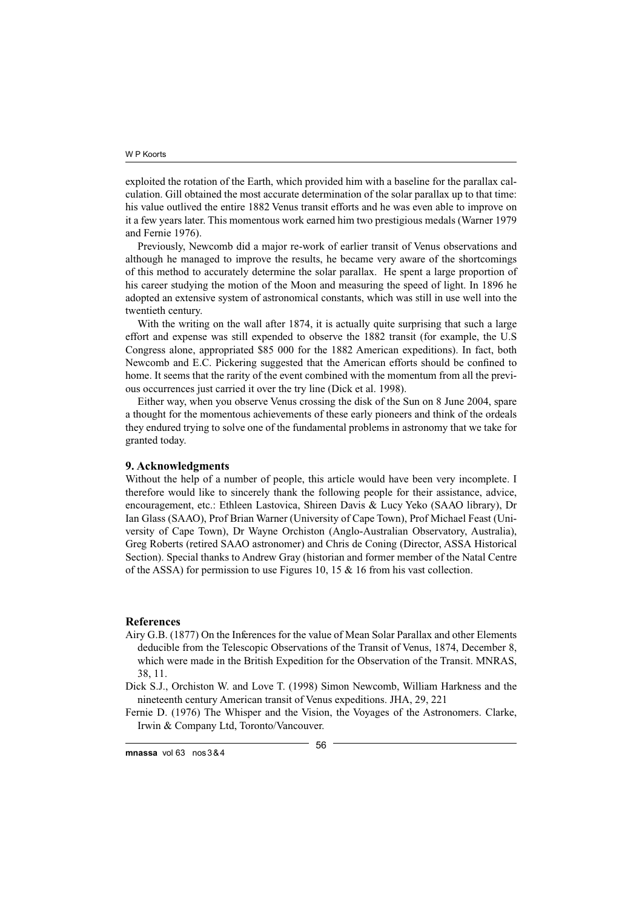exploited the rotation of the Earth, which provided him with a baseline for the parallax calculation. Gill obtained the most accurate determination of the solar parallax up to that time: his value outlived the entire 1882 Venus transit efforts and he was even able to improve on it a few years later. This momentous work earned him two prestigious medals (Warner 1979 and Fernie 1976).

Previously, Newcomb did a major re-work of earlier transit of Venus observations and although he managed to improve the results, he became very aware of the shortcomings of this method to accurately determine the solar parallax. He spent a large proportion of his career studying the motion of the Moon and measuring the speed of light. In 1896 he adopted an extensive system of astronomical constants, which was still in use well into the twentieth century.

With the writing on the wall after 1874, it is actually quite surprising that such a large effort and expense was still expended to observe the 1882 transit (for example, the U.S Congress alone, appropriated \$85 000 for the 1882 American expeditions). In fact, both Newcomb and E.C. Pickering suggested that the American efforts should be confined to home. It seems that the rarity of the event combined with the momentum from all the previous occurrences just carried it over the try line (Dick et al. 1998).

Either way, when you observe Venus crossing the disk of the Sun on 8 June 2004, spare a thought for the momentous achievements of these early pioneers and think of the ordeals they endured trying to solve one of the fundamental problems in astronomy that we take for granted today.

# **9. Acknowledgments**

Without the help of a number of people, this article would have been very incomplete. I therefore would like to sincerely thank the following people for their assistance, advice, encouragement, etc.: Ethleen Lastovica, Shireen Davis & Lucy Yeko (SAAO library), Dr Ian Glass (SAAO), Prof Brian Warner (University of Cape Town), Prof Michael Feast (University of Cape Town), Dr Wayne Orchiston (Anglo-Australian Observatory, Australia), Greg Roberts (retired SAAO astronomer) and Chris de Coning (Director, ASSA Historical Section). Special thanks to Andrew Gray (historian and former member of the Natal Centre of the ASSA) for permission to use Figures 10, 15 & 16 from his vast collection.

# **References**

- Airy G.B. (1877) On the Inferences for the value of Mean Solar Parallax and other Elements deducible from the Telescopic Observations of the Transit of Venus, 1874, December 8, which were made in the British Expedition for the Observation of the Transit. MNRAS, 38, 11.
- Dick S.J., Orchiston W. and Love T. (1998) Simon Newcomb, William Harkness and the nineteenth century American transit of Venus expeditions. JHA, 29, 221

Fernie D. (1976) The Whisper and the Vision, the Voyages of the Astronomers. Clarke, Irwin & Company Ltd, Toronto/Vancouver.